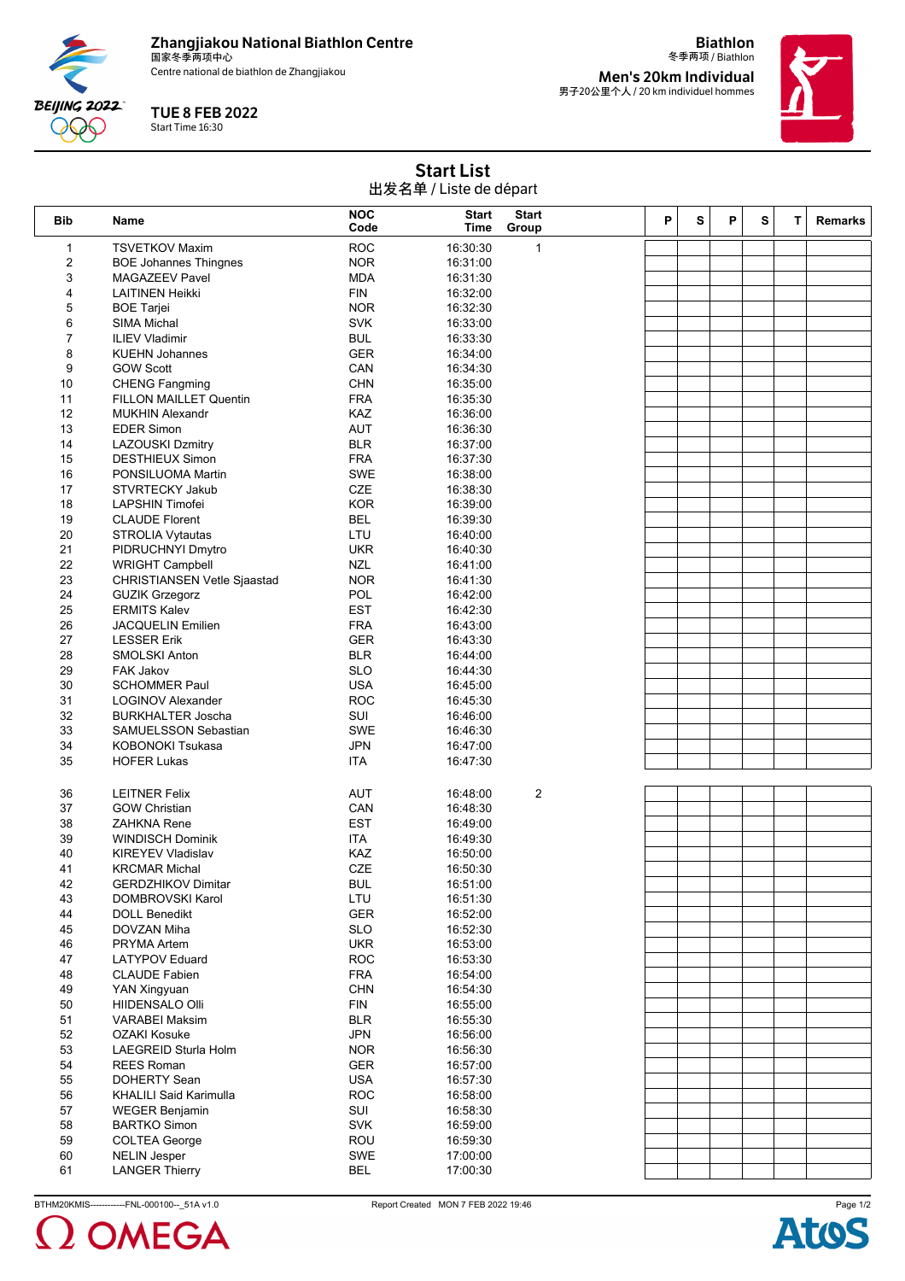

Centre national de biathlon de Zhangjiakou



**QQQ** 

冬季两项 / Biathlon **Men's 20km Individual** 男子20公里个人 / 20 km individuel hommes

**Biathlon**



Start List 出发名单 / Liste de départ

| ш«н+, сыс ас асран      |                                    |                    |                      |                       |   |   |   |   |   |                |
|-------------------------|------------------------------------|--------------------|----------------------|-----------------------|---|---|---|---|---|----------------|
| Bib                     | Name                               | <b>NOC</b><br>Code | <b>Start</b><br>Time | <b>Start</b><br>Group | P | s | P | s | T | <b>Remarks</b> |
| $\mathbf{1}$            | <b>TSVETKOV Maxim</b>              | <b>ROC</b>         | 16:30:30             | $\mathbf{1}$          |   |   |   |   |   |                |
| $\overline{\mathbf{c}}$ | <b>BOE Johannes Thingnes</b>       | <b>NOR</b>         | 16:31:00             |                       |   |   |   |   |   |                |
| 3                       | <b>MAGAZEEV Pavel</b>              | <b>MDA</b>         | 16:31:30             |                       |   |   |   |   |   |                |
| 4                       | <b>LAITINEN Heikki</b>             | <b>FIN</b>         | 16:32:00             |                       |   |   |   |   |   |                |
| 5                       | <b>BOE Tarjei</b>                  | <b>NOR</b>         | 16:32:30             |                       |   |   |   |   |   |                |
| 6                       | <b>SIMA Michal</b>                 | <b>SVK</b>         | 16:33:00             |                       |   |   |   |   |   |                |
| $\overline{7}$          | <b>ILIEV Vladimir</b>              | <b>BUL</b>         | 16:33:30             |                       |   |   |   |   |   |                |
| 8                       | <b>KUEHN Johannes</b>              | GER                | 16:34:00             |                       |   |   |   |   |   |                |
| 9                       | <b>GOW Scott</b>                   | CAN                | 16:34:30             |                       |   |   |   |   |   |                |
| 10                      | <b>CHENG Fangming</b>              | <b>CHN</b>         | 16:35:00             |                       |   |   |   |   |   |                |
| 11                      | FILLON MAILLET Quentin             | <b>FRA</b>         | 16:35:30             |                       |   |   |   |   |   |                |
| 12                      | <b>MUKHIN Alexandr</b>             | KAZ                | 16:36:00             |                       |   |   |   |   |   |                |
| 13                      | <b>EDER Simon</b>                  | <b>AUT</b>         | 16:36:30             |                       |   |   |   |   |   |                |
| 14                      | <b>LAZOUSKI Dzmitry</b>            | <b>BLR</b>         | 16:37:00             |                       |   |   |   |   |   |                |
| 15                      | <b>DESTHIEUX Simon</b>             | <b>FRA</b>         | 16:37:30             |                       |   |   |   |   |   |                |
| 16                      | PONSILUOMA Martin                  | SWE                | 16:38:00             |                       |   |   |   |   |   |                |
| 17                      | STVRTECKY Jakub                    | CZE                | 16:38:30             |                       |   |   |   |   |   |                |
| 18                      | <b>LAPSHIN Timofei</b>             | <b>KOR</b>         | 16:39:00             |                       |   |   |   |   |   |                |
| 19                      | <b>CLAUDE Florent</b>              | <b>BEL</b>         | 16:39:30             |                       |   |   |   |   |   |                |
| 20                      | STROLIA Vytautas                   | LTU                | 16:40:00             |                       |   |   |   |   |   |                |
| 21                      | PIDRUCHNYI Dmytro                  | <b>UKR</b>         | 16:40:30             |                       |   |   |   |   |   |                |
| 22                      | <b>WRIGHT Campbell</b>             | <b>NZL</b>         | 16:41:00             |                       |   |   |   |   |   |                |
| 23                      | <b>CHRISTIANSEN Vetle Sjaastad</b> | <b>NOR</b>         | 16:41:30             |                       |   |   |   |   |   |                |
| 24                      | <b>GUZIK Grzegorz</b>              | POL                | 16:42:00             |                       |   |   |   |   |   |                |
| 25                      | <b>ERMITS Kalev</b>                | <b>EST</b>         | 16:42:30             |                       |   |   |   |   |   |                |
| 26                      | <b>JACQUELIN Emilien</b>           | <b>FRA</b>         | 16:43:00             |                       |   |   |   |   |   |                |
| 27                      | <b>LESSER Erik</b>                 | <b>GER</b>         | 16:43:30             |                       |   |   |   |   |   |                |
| 28                      | <b>SMOLSKI Anton</b>               | <b>BLR</b>         | 16:44:00             |                       |   |   |   |   |   |                |
| 29                      | <b>FAK Jakov</b>                   | <b>SLO</b>         | 16:44:30             |                       |   |   |   |   |   |                |
| 30                      | <b>SCHOMMER Paul</b>               | <b>USA</b>         | 16:45:00             |                       |   |   |   |   |   |                |
| 31                      | <b>LOGINOV Alexander</b>           | <b>ROC</b>         | 16:45:30             |                       |   |   |   |   |   |                |
| 32                      | <b>BURKHALTER Joscha</b>           | SUI                | 16:46:00             |                       |   |   |   |   |   |                |
| 33                      | SAMUELSSON Sebastian               | SWE                | 16:46:30             |                       |   |   |   |   |   |                |
| 34                      | <b>KOBONOKI Tsukasa</b>            | <b>JPN</b>         | 16:47:00             |                       |   |   |   |   |   |                |
| 35                      | <b>HOFER Lukas</b>                 | ITA                | 16:47:30             |                       |   |   |   |   |   |                |
|                         |                                    |                    |                      |                       |   |   |   |   |   |                |
| 36                      | <b>LEITNER Felix</b>               | <b>AUT</b>         | 16:48:00             | 2                     |   |   |   |   |   |                |
| 37                      | <b>GOW Christian</b>               | CAN                | 16:48:30             |                       |   |   |   |   |   |                |
| 38                      | <b>ZAHKNA Rene</b>                 | EST                | 16:49:00             |                       |   |   |   |   |   |                |
| 39                      | <b>WINDISCH Dominik</b>            | ITA                | 16:49:30             |                       |   |   |   |   |   |                |
| 40                      | <b>KIREYEV Vladislav</b>           | KAZ                | 16:50:00             |                       |   |   |   |   |   |                |
| 41                      | <b>KRCMAR Michal</b>               | <b>CZE</b>         | 16:50:30             |                       |   |   |   |   |   |                |
| 42                      | <b>GERDZHIKOV Dimitar</b>          | <b>BUL</b>         | 16:51:00             |                       |   |   |   |   |   |                |
| 43                      | DOMBROVSKI Karol                   | LTU                | 16:51:30             |                       |   |   |   |   |   |                |
| 44                      | <b>DOLL Benedikt</b>               | GER                | 16:52:00             |                       |   |   |   |   |   |                |
| 45                      | DOVZAN Miha                        | <b>SLO</b>         | 16:52:30             |                       |   |   |   |   |   |                |
| 46                      | <b>PRYMA Artem</b>                 | <b>UKR</b>         | 16:53:00             |                       |   |   |   |   |   |                |
| 47                      | <b>LATYPOV Eduard</b>              | <b>ROC</b>         | 16:53:30             |                       |   |   |   |   |   |                |
| 48                      | <b>CLAUDE Fabien</b>               | <b>FRA</b>         | 16:54:00             |                       |   |   |   |   |   |                |
| 49                      | YAN Xingyuan                       | <b>CHN</b>         | 16:54:30             |                       |   |   |   |   |   |                |
| 50                      | <b>HIIDENSALO OIII</b>             | <b>FIN</b>         | 16:55:00             |                       |   |   |   |   |   |                |
| 51                      | <b>VARABEI Maksim</b>              | <b>BLR</b>         | 16:55:30             |                       |   |   |   |   |   |                |
| 52                      | <b>OZAKI Kosuke</b>                | <b>JPN</b>         | 16:56:00             |                       |   |   |   |   |   |                |
| 53                      | LAEGREID Sturla Holm               | <b>NOR</b>         | 16:56:30             |                       |   |   |   |   |   |                |
| 54                      | <b>REES Roman</b>                  | GER                | 16:57:00             |                       |   |   |   |   |   |                |
| 55                      | DOHERTY Sean                       | <b>USA</b>         | 16:57:30             |                       |   |   |   |   |   |                |
| 56                      | <b>KHALILI Said Karimulla</b>      | <b>ROC</b>         | 16:58:00             |                       |   |   |   |   |   |                |
| 57                      | <b>WEGER Benjamin</b>              | SUI                | 16:58:30             |                       |   |   |   |   |   |                |
| 58                      | <b>BARTKO Simon</b>                | <b>SVK</b>         | 16:59:00             |                       |   |   |   |   |   |                |
| 59                      | <b>COLTEA George</b>               | ROU                | 16:59:30             |                       |   |   |   |   |   |                |
| 60                      | <b>NELIN Jesper</b>                | SWE                | 17:00:00             |                       |   |   |   |   |   |                |
| 61                      | <b>LANGER Thierry</b>              | <b>BEL</b>         | 17:00:30             |                       |   |   |   |   |   |                |

BTHM20KMIS------------FNL-000100--\_51A v1.0 Report Created MON 7 FEB 2022 19:46

**OMEGA**